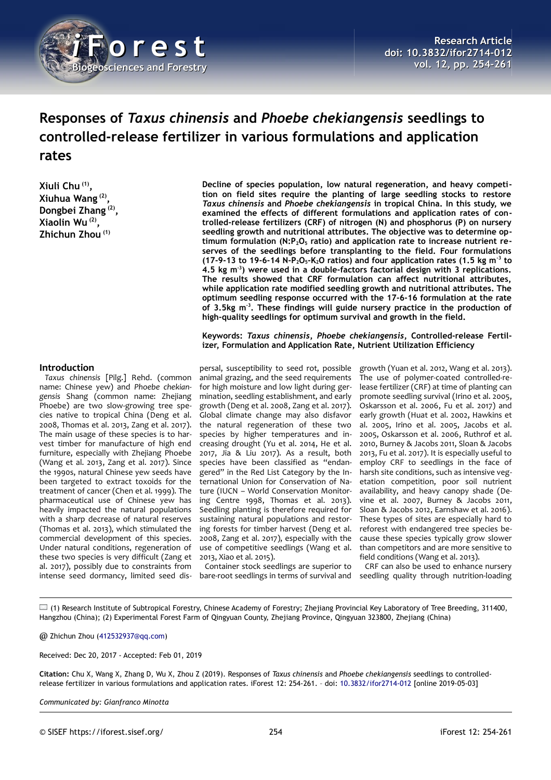

# **Responses of** *Taxus chinensis* **and** *Phoebe chekiangensis* **seedlings to controlled-release fertilizer in various formulations and application rates**

**Xiuli Chu (1) , Xiuhua Wang (2) , Dongbei Zhang (2) , Xiaolin Wu (2) , Zhichun Zhou (1)**

**Decline of species population, low natural regeneration, and heavy competition on field sites require the planting of large seedling stocks to restore** *Taxus chinensis* **and** *Phoebe chekiangensis* **in tropical China. In this study, we examined the effects of different formulations and application rates of controlled-release fertilizers (CRF) of nitrogen (N) and phosphorus (P) on nursery seedling growth and nutritional attributes. The objective was to determine optimum formulation (N:P2O5 ratio) and application rate to increase nutrient reserves of the seedlings before transplanting to the field. Four formulations (17-9-13 to 19-6-14 N-P2O5-K2O ratios) and four application rates (1.5 kg m-3 to 4.5 kg m-3) were used in a double-factors factorial design with 3 replications. The results showed that CRF formulation can affect nutritional attributes, while application rate modified seedling growth and nutritional attributes. The optimum seedling response occurred with the 17-6-16 formulation at the rate of 3.5kg m-3. These findings will guide nursery practice in the production of high-quality seedlings for optimum survival and growth in the field.**

**Keywords:** *Taxus chinensis***,** *Phoebe chekiangensis***, Controlled-release Fertilizer, Formulation and Application Rate, Nutrient Utilization Efficiency**

## **Introduction**

*Taxus chinensis* [Pilg.] Rehd. (common name: Chinese yew) and *Phoebe chekiangensis* Shang (common name: Zhejiang Phoebe) are two slow-growing tree species native to tropical China (Deng et al. 2008, Thomas et al. 2013, Zang et al. 2017). The main usage of these species is to harvest timber for manufacture of high end furniture, especially with Zhejiang Phoebe (Wang et al. 2013, Zang et al. 2017). Since the 1990s, natural Chinese yew seeds have been targeted to extract toxoids for the treatment of cancer (Chen et al. 1999). The pharmaceutical use of Chinese yew has heavily impacted the natural populations with a sharp decrease of natural reserves (Thomas et al. 2013), which stimulated the commercial development of this species. Under natural conditions, regeneration of these two species is very difficult (Zang et al. 2017), possibly due to constraints from intense seed dormancy, limited seed dis-

persal, susceptibility to seed rot, possible animal grazing, and the seed requirements for high moisture and low light during germination, seedling establishment, and early growth (Deng et al. 2008, Zang et al. 2017). Global climate change may also disfavor the natural regeneration of these two species by higher temperatures and increasing drought (Yu et al. 2014, He et al. 2017, Jia & Liu 2017). As a result, both species have been classified as "endangered" in the Red List Category by the International Union for Conservation of Nature (IUCN – World Conservation Monitoring Centre 1998, Thomas et al. 2013). Seedling planting is therefore required for sustaining natural populations and restoring forests for timber harvest (Deng et al. 2008, Zang et al. 2017), especially with the use of competitive seedlings (Wang et al. 2013, Xiao et al. 2015).

Container stock seedlings are superior to bare-root seedlings in terms of survival and

growth (Yuan et al. 2012, Wang et al. 2013). The use of polymer-coated controlled-release fertilizer (CRF) at time of planting can promote seedling survival (Irino et al. 2005, Oskarsson et al. 2006, Fu et al. 2017) and early growth (Huat et al. 2002, Hawkins et al. 2005, Irino et al. 2005, Jacobs et al. 2005, Oskarsson et al. 2006, Ruthrof et al. 2010, Burney & Jacobs 2011, Sloan & Jacobs 2013, Fu et al. 2017). It is especially useful to employ CRF to seedlings in the face of harsh site conditions, such as intensive vegetation competition, poor soil nutrient availability, and heavy canopy shade (Devine et al. 2007, Burney & Jacobs 2011, Sloan & Jacobs 2012, Earnshaw et al. 2016). These types of sites are especially hard to reforest with endangered tree species because these species typically grow slower than competitors and are more sensitive to field conditions (Wang et al. 2013).

CRF can also be used to enhance nursery seedling quality through nutrition-loading

(1) Research Institute of Subtropical Forestry, Chinese Academy of Forestry; Zhejiang Provincial Key Laboratory of Tree Breeding, 311400, Hangzhou (China); (2) Experimental Forest Farm of Qingyuan County, Zhejiang Province, Qingyuan 323800, Zhejiang (China)

@ Zhichun Zhou [\(412532937@qq.com\)](mailto:412532937@qq.com)

Received: Dec 20, 2017 - Accepted: Feb 01, 2019

**Citation:** Chu X, Wang X, Zhang D, Wu X, Zhou Z (2019). Responses of *Taxus chinensis* and *Phoebe chekiangensis* seedlings to controlledrelease fertilizer in various formulations and application rates. iForest 12: 254-261. – doi: [10.3832/ifor2714-012](http://www.sisef.it/iforest/contents/?id=ifor2714-012) [online 2019-05-03]

*Communicated by: Gianfranco Minotta*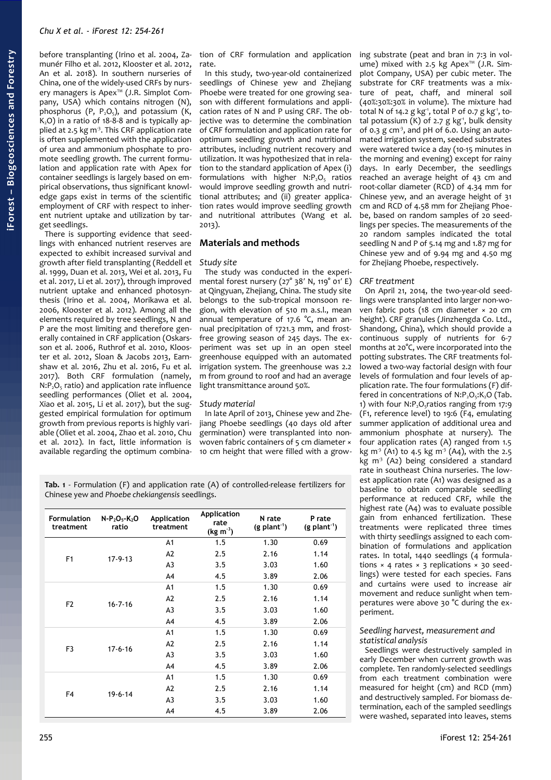before transplanting (Irino et al. 2004, Zamunér Filho et al. 2012, Klooster et al. 2012, An et al. 2018). In southern nurseries of China, one of the widely-used CRFs by nursery managers is Apex™ (J.R. Simplot Company, USA) which contains nitrogen (N), phosphorus (P,  $P_2O_5$ ), and potassium (K,  $K, O$ ) in a ratio of 18-8-8 and is typically applied at 2.5 kg m<sup>3</sup>. This CRF application rate is often supplemented with the application of urea and ammonium phosphate to promote seedling growth. The current formulation and application rate with Apex for container seedlings is largely based on empirical observations, thus significant knowledge gaps exist in terms of the scientific employment of CRF with respect to inherent nutrient uptake and utilization by target seedlings.

There is supporting evidence that seedlings with enhanced nutrient reserves are expected to exhibit increased survival and growth after field transplanting (Reddell et al. 1999, Duan et al. 2013, Wei et al. 2013, Fu et al. 2017, Li et al. 2017), through improved nutrient uptake and enhanced photosynthesis (Irino et al. 2004, Morikawa et al. 2006, Klooster et al. 2012). Among all the elements required by tree seedlings, N and P are the most limiting and therefore generally contained in CRF application (Oskarsson et al. 2006, Ruthrof et al. 2010, Klooster et al. 2012, Sloan & Jacobs 2013, Earnshaw et al. 2016, Zhu et al. 2016, Fu et al. 2017). Both CRF formulation (namely,  $N: P_2O_5$  ratio) and application rate influence seedling performances (Oliet et al. 2004, Xiao et al. 2015, Li et al. 2017), but the suggested empirical formulation for optimum growth from previous reports is highly variable (Oliet et al. 2004, Zhao et al. 2010, Chu et al. 2012). In fact, little information is available regarding the optimum combination of CRF formulation and application rate.

In this study, two-year-old containerized seedlings of Chinese yew and Zhejiang Phoebe were treated for one growing season with different formulations and application rates of N and P using CRF. The objective was to determine the combination of CRF formulation and application rate for optimum seedling growth and nutritional attributes, including nutrient recovery and utilization. It was hypothesized that in relation to the standard application of Apex (i) formulations with higher  $N: P_2O_5$  ratios would improve seedling growth and nutritional attributes; and (ii) greater application rates would improve seedling growth and nutritional attributes (Wang et al. 2013).

# **Materials and methods**

# *Study site*

The study was conducted in the experimental forest nursery (27° 38′ N, 119° 01′ E) at Qingyuan, Zhejiang, China. The study site belongs to the sub-tropical monsoon region, with elevation of 510 m a.s.l., mean annual temperature of 17.6 °C, mean annual precipitation of 1721.3 mm, and frostfree growing season of 245 days. The experiment was set up in an open steel greenhouse equipped with an automated irrigation system. The greenhouse was 2.2 m from ground to roof and had an average light transmittance around 50%.

# *Study material*

In late April of 2013, Chinese yew and Zhejiang Phoebe seedlings (40 days old after germination) were transplanted into nonwoven fabric containers of 5 cm diameter × 10 cm height that were filled with a grow-

<span id="page-1-0"></span>**Tab. 1** - Formulation (F) and application rate (A) of controlled-release fertilizers for Chinese yew and *Phoebe chekiangensis* seedlings.

| <b>Formulation</b><br>treatment | $N - P_2O_5 - K_2O$<br>ratio | <b>Application</b><br>treatment | Application<br>rate<br>$(kg m^{-3})$ | N rate<br>$(g$ plant <sup>-1</sup> ) | P rate<br>$(g$ plant <sup>-1</sup> ) |  |
|---------------------------------|------------------------------|---------------------------------|--------------------------------------|--------------------------------------|--------------------------------------|--|
| F <sub>1</sub>                  | $17-9-13$                    | A <sub>1</sub>                  | 1.5                                  | 1.30                                 | 0.69                                 |  |
|                                 |                              | A2                              | 2.5                                  | 2.16                                 | 1.14                                 |  |
|                                 |                              | A <sub>3</sub>                  | 3.5                                  | 3.03                                 | 1.60                                 |  |
|                                 |                              | A4                              | 4.5                                  | 3.89                                 | 2.06                                 |  |
| F <sub>2</sub>                  | $16 - 7 - 16$                | A <sub>1</sub>                  | 1.5                                  | 1.30                                 | 0.69                                 |  |
|                                 |                              | A2                              | 2.5                                  | 2.16                                 | 1.14                                 |  |
|                                 |                              | A <sub>3</sub>                  | 3.5                                  | 3.03                                 | 1.60                                 |  |
|                                 |                              | A4                              | 4.5                                  | 3.89                                 | 2.06                                 |  |
| F <sub>3</sub>                  | $17 - 6 - 16$                | A <sub>1</sub>                  | 1.5                                  | 1.30                                 | 0.69                                 |  |
|                                 |                              | A2                              | 2.5                                  | 2.16                                 | 1.14                                 |  |
|                                 |                              | A <sub>3</sub>                  | 3.5                                  | 3.03                                 | 1.60                                 |  |
|                                 |                              | A4                              | 4.5                                  | 3.89                                 | 2.06                                 |  |
| F <sub>4</sub>                  | $19 - 6 - 14$                | A <sub>1</sub>                  | 1.5                                  | 1.30                                 | 0.69                                 |  |
|                                 |                              | A2                              | 2.5                                  | 2.16                                 | 1.14                                 |  |
|                                 |                              | A <sub>3</sub>                  | 3.5                                  | 3.03                                 | 1.60                                 |  |
|                                 |                              | A4                              | 4.5                                  | 3.89                                 | 2.06                                 |  |

ing substrate (peat and bran in 7:3 in volume) mixed with 2.5 kg Apex™ (J.R. Simplot Company, USA) per cubic meter. The substrate for CRF treatments was a mixture of peat, chaff, and mineral soil (40%:30%:30% in volume). The mixture had total N of 14.2 g kg<sup>-1</sup>, total P of 0.7 g kg<sup>-1</sup>, total potassium  $(K)$  of 2.7 g kg<sup>-1</sup>, bulk density of 0.3 g  $cm<sup>3</sup>$ , and pH of 6.0. Using an automated irrigation system, seeded substrates were watered twice a day (10-15 minutes in the morning and evening) except for rainy days. In early December, the seedlings reached an average height of 43 cm and root-collar diameter (RCD) of 4.34 mm for Chinese yew, and an average height of 31 cm and RCD of 4.58 mm for Zhejiang Phoebe, based on random samples of 20 seedlings per species. The measurements of the 20 random samples indicated the total seedling N and P of 5.14 mg and 1.87 mg for Chinese yew and of 9.94 mg and 4.50 mg for Zhejiang Phoebe, respectively.

# *CRF treatment*

On April 21, 2014, the two-year-old seedlings were transplanted into larger non-woven fabric pots (18 cm diameter × 20 cm height). CRF granules (Jinzhengda Co. Ltd., Shandong, China), which should provide a continuous supply of nutrients for 6-7 months at 20°C, were incorporated into the potting substrates. The CRF treatments followed a two-way factorial design with four levels of formulation and four levels of application rate. The four formulations (F) differed in concentrations of  $N:P_2O_5:K_2O$  [\(Tab.](#page-1-0) [1\)](#page-1-0) with four  $N: P_2O_5$ ratios ranging from 17:9 (F1, reference level) to 19:6 (F4, emulating summer application of additional urea and ammonium phosphate at nursery). The four application rates (A) ranged from 1.5 kg m<sup>3</sup> (A1) to 4.5 kg m<sup>3</sup> (A4), with the 2.5 kg  $m^3$  (A2) being considered a standard rate in southeast China nurseries. The lowest application rate (A1) was designed as a baseline to obtain comparable seedling performance at reduced CRF, while the highest rate (A4) was to evaluate possible gain from enhanced fertilization. These treatments were replicated three times with thirty seedlings assigned to each combination of formulations and application rates. In total, 1440 seedlings (4 formulations  $\times$  4 rates  $\times$  3 replications  $\times$  30 seedlings) were tested for each species. Fans and curtains were used to increase air movement and reduce sunlight when temperatures were above 30 °C during the experiment.

#### *Seedling harvest, measurement and statistical analysis*

Seedlings were destructively sampled in early December when current growth was complete. Ten randomly-selected seedlings from each treatment combination were measured for height (cm) and RCD (mm) and destructively sampled. For biomass determination, each of the sampled seedlings were washed, separated into leaves, stems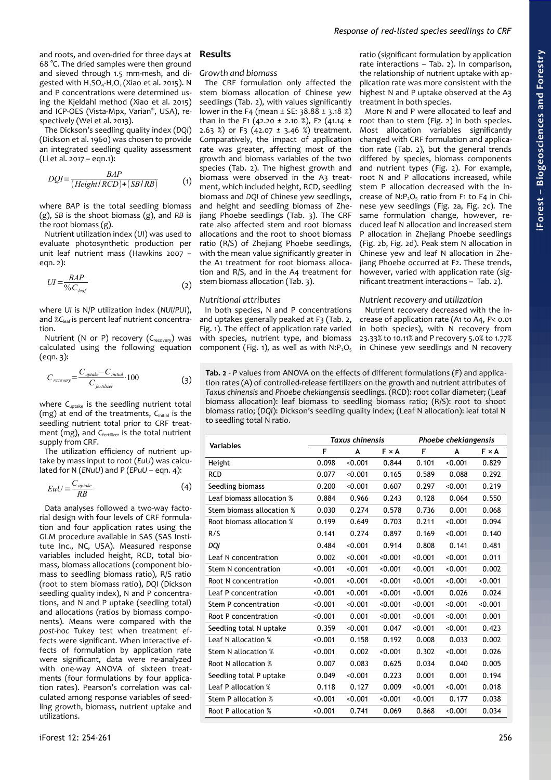and roots, and oven-dried for three days at 68 °C. The dried samples were then ground and sieved through 1.5 mm-mesh, and digested with  $H_2SO_4$ -H<sub>2</sub>O<sub>2</sub> (Xiao et al. 2015). N and P concentrations were determined using the Kjeldahl method (Xiao et al. 2015) and ICP-OES (Vista-Mpx, Varian®, USA), respectively (Wei et al. 2013).

The Dickson's seedling quality index (*DQI*) (Dickson et al. 1960) was chosen to provide an integrated seedling quality assessment (Li et al. 2017 – eqn.1):

$$
DQI = \frac{BAP}{(HeightI RCD)+(SB/RB)}
$$
 (1)

where *BAP* is the total seedling biomass (g), *SB* is the shoot biomass (g), and *RB* is the root biomass (g).

Nutrient utilization index (*UI*) was used to evaluate photosynthetic production per unit leaf nutrient mass (Hawkins 2007 – eqn. 2):

$$
UI = \frac{BAP}{\%C_{leaf}}\tag{2}
$$

where *UI* is N/P utilization index (*NUI/PUI*), and %*C*leaf is percent leaf nutrient concentration.

Nutrient (N or P) recovery (*C*recovery) was calculated using the following equation (eqn. 3):

$$
C_{recovery} = \frac{C_{\text{update}} - C_{\text{initial}}}{C_{\text{ferilizer}}} \cdot 100\tag{3}
$$

where C<sub>uptake</sub> is the seedling nutrient total (mg) at end of the treatments, C<sub>initial</sub> is the seedling nutrient total prior to CRF treatment (mg), and C<sub>fertilizer</sub> is the total nutrient supply from CRF.

The utilization efficiency of nutrient uptake by mass input to root (*EuU*) was calculated for N (*ENuU*) and P (*EPuU* – eqn. 4):

$$
EuU = \frac{C_{\text{update}}}{RB} \tag{4}
$$

Data analyses followed a two-way factorial design with four levels of CRF formulation and four application rates using the GLM procedure available in SAS (SAS Institute Inc., NC, USA). Measured response variables included height, RCD, total biomass, biomass allocations (component biomass to seedling biomass ratio), R/S ratio (root to stem biomass ratio), *DQI* (Dickson seedling quality index), N and P concentrations, and N and P uptake (seedling total) and allocations (ratios by biomass components). Means were compared with the *post-hoc* Tukey test when treatment effects were significant. When interactive effects of formulation by application rate were significant, data were re-analyzed with one-way ANOVA of sixteen treatments (four formulations by four application rates). Pearson's correlation was calculated among response variables of seedling growth, biomass, nutrient uptake and utilizations.

# **Results**

## *Growth and biomass*

The CRF formulation only affected the stem biomass allocation of Chinese yew seedlings [\(Tab. 2\)](#page-2-0), with values significantly lower in the F4 (mean  $\pm$  SE: 38.88  $\pm$  3.18 %) than in the F1 (42.20  $\pm$  2.10 %), F2 (41.14  $\pm$ 2.63 %) or F3 (42.07  $\pm$  3.46 %) treatment. Comparatively, the impact of application rate was greater, affecting most of the growth and biomass variables of the two species [\(Tab. 2\)](#page-2-0). The highest growth and biomass were observed in the A3 treatment, which included height, RCD, seedling biomass and *DQI* of Chinese yew seedlings, and height and seedling biomass of Zhejiang Phoebe seedlings [\(Tab. 3\)](#page-3-1). The CRF rate also affected stem and root biomass allocations and the root to shoot biomass ratio (R/S) of Zhejiang Phoebe seedlings, with the mean value significantly greater in the A1 treatment for root biomass allocation and R/S, and in the A4 treatment for stem biomass allocation [\(Tab. 3\)](#page-3-1).

#### *Nutritional attributes*

In both species, N and P concentrations and uptakes generally peaked at F3 [\(Tab. 2,](#page-2-0) [Fig. 1\)](#page-3-0). The effect of application rate varied with species, nutrient type, and biomass component [\(Fig. 1\)](#page-3-0), as well as with  $N: P_2O_5$  ratio (significant formulation by application rate interactions – [Tab. 2\)](#page-2-0). In comparison, the relationship of nutrient uptake with application rate was more consistent with the highest N and P uptake observed at the A3 treatment in both species.

More N and P were allocated to leaf and root than to stem [\(Fig. 2\)](#page-4-0) in both species. Most allocation variables significantly changed with CRF formulation and application rate [\(Tab. 2\)](#page-2-0), but the general trends differed by species, biomass components and nutrient types [\(Fig. 2\)](#page-4-0). For example, root N and P allocations increased, while stem P allocation decreased with the increase of  $N: P_2O_5$  ratio from F1 to F4 in Chinese yew seedlings [\(Fig. 2a](#page-4-0), [Fig. 2c](#page-4-0)). The same formulation change, however, reduced leaf N allocation and increased stem P allocation in Zhejiang Phoebe seedlings [\(Fig. 2b](#page-4-0), [Fig. 2d](#page-4-0)). Peak stem N allocation in Chinese yew and leaf N allocation in Zhejiang Phoebe occurred at F2. These trends, however, varied with application rate (significant treatment interactions – [Tab. 2\)](#page-2-0).

#### *Nutrient recovery and utilization*

Nutrient recovery decreased with the increase of application rate (A1 to A4, *P*< 0.01 in both species), with N recovery from 23.33% to 10.11% and P recovery 5.0% to 1.77% in Chinese yew seedlings and N recovery

<span id="page-2-0"></span>**Tab. 2** - *P* values from ANOVA on the effects of different formulations (F) and application rates (A) of controlled-release fertilizers on the growth and nutrient attributes of *Taxus chinensis* and *Phoebe chekiangensis* seedlings. (RCD): root collar diameter; (Leaf biomass allocation): leaf biomass to seedling biomass ratio; (R/S): root to shoot biomass ratio; (*DQI*): Dickson's seedling quality index; (Leaf N allocation): leaf total N to seedling total N ratio.

| <b>Variables</b>          |         | Taxus chinensis |              | Phoebe chekiangensis |         |              |
|---------------------------|---------|-----------------|--------------|----------------------|---------|--------------|
|                           | F       | A               | <b>F</b> × A | F                    | A       | $F \times A$ |
| Height                    | 0.098   | < 0.001         | 0.844        | 0.101                | < 0.001 | 0.829        |
| <b>RCD</b>                | 0.077   | < 0.001         | 0.165        | 0.589                | 0.088   | 0.292        |
| Seedling biomass          | 0.200   | < 0.001         | 0.607        | 0.297                | < 0.001 | 0.219        |
| Leaf biomass allocation % | 0.884   | 0.966           | 0.243        | 0.128                | 0.064   | 0.550        |
| Stem biomass allocation % | 0.030   | 0.274           | 0.578        | 0.736                | 0.001   | 0.068        |
| Root biomass allocation % | 0.199   | 0.649           | 0.703        | 0.211                | < 0.001 | 0.094        |
| R/S                       | 0.141   | 0.274           | 0.897        | 0.169                | < 0.001 | 0.140        |
| DQI                       | 0.484   | < 0.001         | 0.914        | 0.808                | 0.141   | 0.481        |
| Leaf N concentration      | 0.002   | < 0.001         | < 0.001      | < 0.001              | < 0.001 | 0.011        |
| Stem N concentration      | < 0.001 | < 0.001         | < 0.001      | < 0.001              | < 0.001 | 0.002        |
| Root N concentration      | < 0.001 | < 0.001         | < 0.001      | < 0.001              | < 0.001 | < 0.001      |
| Leaf P concentration      | < 0.001 | < 0.001         | < 0.001      | < 0.001              | 0.026   | 0.024        |
| Stem P concentration      | < 0.001 | < 0.001         | < 0.001      | < 0.001              | < 0.001 | < 0.001      |
| Root P concentration      | < 0.001 | 0.001           | < 0.001      | < 0.001              | < 0.001 | 0.001        |
| Seedling total N uptake   | 0.359   | < 0.001         | 0.047        | < 0.001              | < 0.001 | 0.423        |
| Leaf N allocation %       | < 0.001 | 0.158           | 0.192        | 0.008                | 0.033   | 0.002        |
| Stem N allocation %       | < 0.001 | 0.002           | < 0.001      | 0.302                | < 0.001 | 0.026        |
| Root N allocation %       | 0.007   | 0.083           | 0.625        | 0.034                | 0.040   | 0.005        |
| Seedling total P uptake   | 0.049   | < 0.001         | 0.223        | 0.001                | 0.001   | 0.194        |
| Leaf P allocation %       | 0.118   | 0.127           | 0.009        | < 0.001              | < 0.001 | 0.018        |
| Stem P allocation %       | < 0.001 | < 0.001         | < 0.001      | < 0.001              | 0.177   | 0.038        |
| Root P allocation %       | < 0.001 | 0.741           | 0.069        | 0.868                | < 0.001 | 0.034        |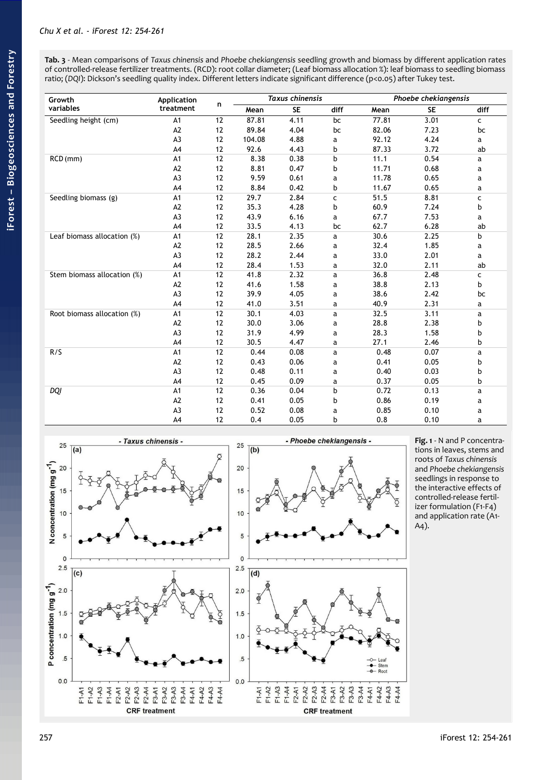<span id="page-3-1"></span>**Tab. 3** - Mean comparisons of *Taxus chinensis* and *Phoebe chekiangensis* seedling growth and biomass by different application rates of controlled-release fertilizer treatments. (RCD): root collar diameter; (Leaf biomass allocation %): leaf biomass to seedling biomass ratio; (DQI): Dickson's seedling quality index. Different letters indicate significant difference (p<0.05) after Tukey test.

| Growth                      | Application<br>treatment | n  | <b>Taxus chinensis</b> |           |      | Phoebe chekiangensis |           |      |
|-----------------------------|--------------------------|----|------------------------|-----------|------|----------------------|-----------|------|
| variables                   |                          |    | Mean                   | <b>SE</b> | diff | Mean                 | <b>SE</b> | diff |
| Seedling height (cm)        | A1                       | 12 | 87.81                  | 4.11      | bc   | 77.81                | 3.01      | c    |
|                             | A2                       | 12 | 89.84                  | 4.04      | bc   | 82.06                | 7.23      | bc   |
|                             | A <sub>3</sub>           | 12 | 104.08                 | 4.88      | а    | 92.12                | 4.24      | а    |
|                             | A4                       | 12 | 92.6                   | 4.43      | b    | 87.33                | 3.72      | ab   |
| RCD (mm)                    | A1                       | 12 | 8.38                   | 0.38      | b    | 11.1                 | 0.54      | a    |
|                             | A <sub>2</sub>           | 12 | 8.81                   | 0.47      | b    | 11.71                | 0.68      | а    |
|                             | A <sub>3</sub>           | 12 | 9.59                   | 0.61      | a    | 11.78                | 0.65      | а    |
|                             | A4                       | 12 | 8.84                   | 0.42      | b    | 11.67                | 0.65      | а    |
| Seedling biomass (g)        | A1                       | 12 | 29.7                   | 2.84      | C    | 51.5                 | 8.81      | c    |
|                             | A2                       | 12 | 35.3                   | 4.28      | b    | 60.9                 | 7.24      | b    |
|                             | A <sub>3</sub>           | 12 | 43.9                   | 6.16      | a    | 67.7                 | 7.53      | а    |
|                             | A4                       | 12 | 33.5                   | 4.13      | bc   | 62.7                 | 6.28      | ab   |
| Leaf biomass allocation (%) | A1                       | 12 | 28.1                   | 2.35      | a    | 30.6                 | 2.25      | b    |
|                             | A <sub>2</sub>           | 12 | 28.5                   | 2.66      | a    | 32.4                 | 1.85      | a    |
|                             | A <sub>3</sub>           | 12 | 28.2                   | 2.44      | a    | 33.0                 | 2.01      | a    |
|                             | A4                       | 12 | 28.4                   | 1.53      | a    | 32.0                 | 2.11      | ab   |
| Stem biomass allocation (%) | A1                       | 12 | 41.8                   | 2.32      | a    | 36.8                 | 2.48      | с    |
|                             | A2                       | 12 | 41.6                   | 1.58      | a    | 38.8                 | 2.13      | b    |
|                             | A <sub>3</sub>           | 12 | 39.9                   | 4.05      | a    | 38.6                 | 2.42      | bc   |
|                             | A4                       | 12 | 41.0                   | 3.51      | а    | 40.9                 | 2.31      | a    |
| Root biomass allocation (%) | A1                       | 12 | 30.1                   | 4.03      | a    | 32.5                 | 3.11      | a    |
|                             | A <sub>2</sub>           | 12 | 30.0                   | 3.06      | a    | 28.8                 | 2.38      | b    |
|                             | A <sub>3</sub>           | 12 | 31.9                   | 4.99      | a    | 28.3                 | 1.58      | b    |
|                             | A4                       | 12 | 30.5                   | 4.47      | a    | 27.1                 | 2.46      | b    |
| R/S                         | A <sub>1</sub>           | 12 | 0.44                   | 0.08      | a    | 0.48                 | 0.07      | a    |
|                             | A <sub>2</sub>           | 12 | 0.43                   | 0.06      | a    | 0.41                 | 0.05      | b    |
|                             | A <sub>3</sub>           | 12 | 0.48                   | 0.11      | a    | 0.40                 | 0.03      | b    |
|                             | A <sub>4</sub>           | 12 | 0.45                   | 0.09      | a    | 0.37                 | 0.05      | b    |
| DQI                         | A1                       | 12 | 0.36                   | 0.04      | b    | 0.72                 | 0.13      | a    |
|                             | A <sub>2</sub>           | 12 | 0.41                   | 0.05      | b    | 0.86                 | 0.19      | a    |
|                             | A <sub>3</sub>           | 12 | 0.52                   | 0.08      | а    | 0.85                 | 0.10      | а    |
|                             | A4                       | 12 | 0.4                    | 0.05      | b    | 0.8                  | 0.10      | a    |



<span id="page-3-0"></span>**Fig. 1** - N and P concentrations in leaves, stems and roots of *Taxus chinensis*  and *Phoebe chekiangensis* seedlings in response to the interactive effects of controlled-release fertilizer formulation (F1-F4) and application rate (A1- A4).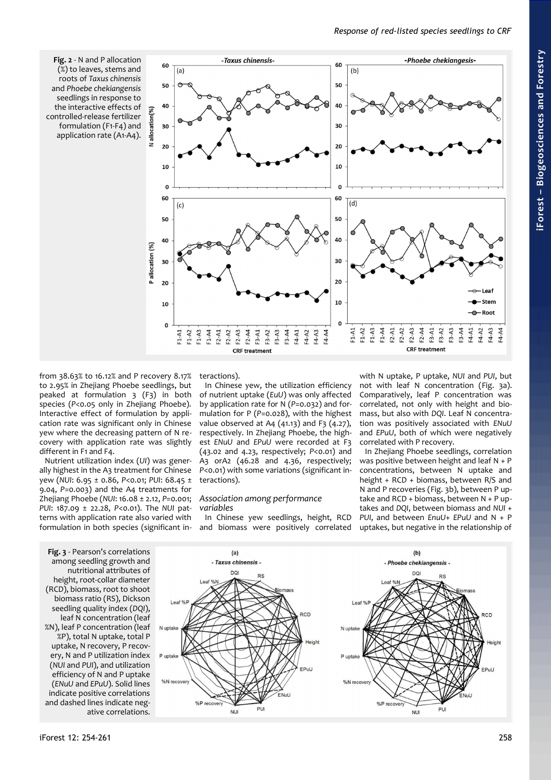<span id="page-4-0"></span>**Fig. 2** - N and P allocation (%) to leaves, stems and roots of *Taxus chinensis* and *Phoebe chekiangensis* seedlings in response to the interactive effects of controlled-release fertilizer formulation (F1-F4) and application rate (A1-A4).



from 38.63% to 16.12% and P recovery 8.17% to 2.95% in Zhejiang Phoebe seedlings, but peaked at formulation 3 (F3) in both species (*P*<0.05 only in Zhejiang Phoebe). Interactive effect of formulation by application rate was significant only in Chinese yew where the decreasing pattern of N recovery with application rate was slightly different in F1 and F4.

Nutrient utilization index (*UI*) was generally highest in the A3 treatment for Chinese yew (*NUI*: 6.95 ± 0.86, *P*<0.01; *PUI*: 68.45 ± 9.04, *P*=0.003) and the A4 treatments for Zhejiang Phoebe (*NUI*: 16.08 ± 2.12, *P*=0.001; *PUI*: 187.09 ± 22.28, *P*<0.01). The *NUI* patterns with application rate also varied with formulation in both species (significant in-

 $leaf%$ 

N uptake

P uptak

%N recover

%P recover

teractions).

In Chinese yew, the utilization efficiency of nutrient uptake (*EuU*) was only affected by application rate for N (*P*=0.032) and formulation for P (*P*=0.028), with the highest value observed at A4  $(41.13)$  and F3  $(4.27)$ , respectively. In Zhejiang Phoebe, the highest *ENuU* and *EPuU* were recorded at F3 (43.02 and 4.23, respectively; *P*<0.01) and A3 orA2 (46.28 and 4.36, respectively; *P*<0.01) with some variations (significant interactions).

#### *Association among performance variables*

In Chinese yew seedlings, height, RCD and biomass were positively correlated with N uptake, P uptake, *NUI* and *PUI*, but not with leaf N concentration ([Fig. 3a](#page-4-1)). Comparatively, leaf P concentration was correlated, not only with height and biomass, but also with *DQI*. Leaf N concentration was positively associated with *ENuU* and *EPuU*, both of which were negatively correlated with P recovery.

In Zhejiang Phoebe seedlings, correlation was positive between height and leaf N + P concentrations, between N uptake and height + RCD + biomass, between R/S and N and P recoveries [\(Fig. 3b](#page-4-1)), between P uptake and RCD + biomass, between N + P uptakes and *DQI*, between biomass and *NUI* + *PUI*, and between *EnuU*+ *EPuU* and N + P uptakes, but negative in the relationship of

<span id="page-4-1"></span>**Fig. 3** - Pearson's correlations among seedling growth and nutritional attributes of height, root-collar diameter (RCD), biomass, root to shoot biomass ratio (RS), Dickson seedling quality index (*DQI*), leaf N concentration (leaf %N), leaf P concentration (leaf %P), total N uptake, total P uptake, N recovery, P recovery, N and P utilization index (*NUI* and *PUI*), and utilization efficiency of N and P uptake (*ENuU* and *EPuU*). Solid lines indicate positive correlations and dashed lines indicate negative correlations.

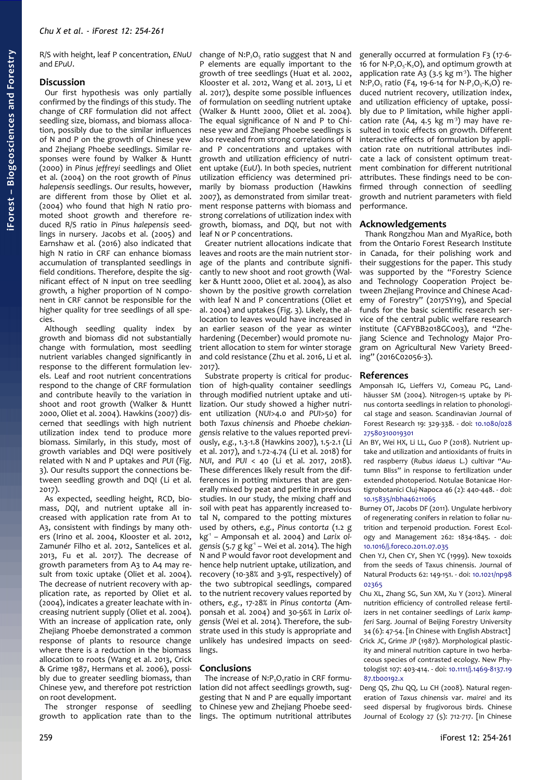R/S with height, leaf P concentration, *ENuU* and *EPuU*.

# **Discussion**

Our first hypothesis was only partially confirmed by the findings of this study. The change of CRF formulation did not affect seedling size, biomass, and biomass allocation, possibly due to the similar influences of N and P on the growth of Chinese yew and Zhejiang Phoebe seedlings. Similar responses were found by Walker & Huntt (2000) in *Pinus jeffreyi* seedlings and Oliet et al. (2004) on the root growth of *Pinus halepensis* seedlings. Our results, however, are different from those by Oliet et al. (2004) who found that high N ratio promoted shoot growth and therefore reduced R/S ratio in *Pinus halepensis* seedlings in nursery. Jacobs et al. (2005) and Earnshaw et al. (2016) also indicated that high N ratio in CRF can enhance biomass accumulation of transplanted seedlings in field conditions. Therefore, despite the significant effect of N input on tree seedling growth, a higher proportion of N component in CRF cannot be responsible for the higher quality for tree seedlings of all species.

Although seedling quality index by growth and biomass did not substantially change with formulation, most seedling nutrient variables changed significantly in response to the different formulation levels. Leaf and root nutrient concentrations respond to the change of CRF formulation and contribute heavily to the variation in shoot and root growth (Walker & Huntt 2000, Oliet et al. 2004). Hawkins (2007) discerned that seedlings with high nutrient utilization index tend to produce more biomass. Similarly, in this study, most of growth variables and DQI were positively related with N and P uptakes and *PUI* [\(Fig.](#page-4-1) [3\)](#page-4-1). Our results support the connections between seedling growth and DQI (Li et al. 2017).

As expected, seedling height, RCD, biomass, *DQI*, and nutrient uptake all increased with application rate from A1 to A3, consistent with findings by many others (Irino et al. 2004, Klooster et al. 2012, Zamunér Filho et al. 2012, Santelices et al. 2013, Fu et al. 2017). The decrease of growth parameters from A3 to A4 may result from toxic uptake (Oliet et al. 2004). The decrease of nutrient recovery with application rate, as reported by Oliet et al. (2004), indicates a greater leachate with increasing nutrient supply (Oliet et al. 2004). With an increase of application rate, only Zhejiang Phoebe demonstrated a common response of plants to resource change where there is a reduction in the biomass allocation to roots (Wang et al. 2013, Crick & Grime 1987, Hermans et al. 2006), possibly due to greater seedling biomass, than Chinese yew, and therefore pot restriction on root development.

The stronger response of seedling growth to application rate than to the change of  $N: P_2O_5$  ratio suggest that N and P elements are equally important to the growth of tree seedlings (Huat et al. 2002, Klooster et al. 2012, Wang et al. 2013, Li et al. 2017), despite some possible influences of formulation on seedling nutrient uptake (Walker & Huntt 2000, Oliet et al. 2004). The equal significance of N and P to Chinese yew and Zhejiang Phoebe seedlings is also revealed from strong correlations of N and P concentrations and uptakes with growth and utilization efficiency of nutrient uptake (*EuU*). In both species, nutrient utilization efficiency was determined primarily by biomass production (Hawkins 2007), as demonstrated from similar treatment response patterns with biomass and strong correlations of utilization index with growth, biomass, and *DQI*, but not with leaf N or P concentrations.

Greater nutrient allocations indicate that leaves and roots are the main nutrient storage of the plants and contribute significantly to new shoot and root growth (Walker & Huntt 2000, Oliet et al. 2004), as also shown by the positive growth correlation with leaf N and P concentrations (Oliet et al. 2004) and uptakes [\(Fig. 3\)](#page-4-1). Likely, the allocation to leaves would have increased in an earlier season of the year as winter hardening (December) would promote nutrient allocation to stem for winter storage and cold resistance (Zhu et al. 2016, Li et al. 2017).

Substrate property is critical for production of high-quality container seedlings through modified nutrient uptake and utilization. Our study showed a higher nutrient utilization (*NUI*>4.0 and *PUI*>50) for both *Taxus chinensis* and *Phoebe chekiangensis* relative to the values reported previously, *e.g.*, 1.3-1.8 (Hawkins 2007), 1.5-2.1 (Li et al. 2017), and 1.72-4.74 (Li et al. 2018) for *NUI*, and *PUI* < 40 (Li et al. 2017, 2018). These differences likely result from the differences in potting mixtures that are generally mixed by peat and perlite in previous studies. In our study, the mixing chaff and soil with peat has apparently increased total N, compared to the potting mixtures used by others, *e.g.*, *Pinus contorta* (1.2 g kg-1 – Amponsah et al. 2004) and *Larix ol*gensis (5.7 g kg<sup>-1</sup> – Wei et al. 2014). The high N and P would favor root development and hence help nutrient uptake, utilization, and recovery (10-38% and 3-9%, respectively) of the two subtropical seedlings, compared to the nutrient recovery values reported by others, *e.g.*, 17-28% in *Pinus contorta* (Amponsah et al. 2004) and 30-56% in *Larix olgensis* (Wei et al. 2014). Therefore, the substrate used in this study is appropriate and unlikely has undesired impacts on seedlings.

# **Conclusions**

The increase of  $N:P_2O_5$ ratio in CRF formulation did not affect seedlings growth, suggesting that N and P are equally important to Chinese yew and Zhejiang Phoebe seedlings. The optimum nutritional attributes

generally occurred at formulation F3 (17-6- 16 for  $N-P_2O_5-K_2O$ ), and optimum growth at application rate A<sub>3</sub> (3.5 kg m<sup>3</sup>). The higher  $N:P_2O_5$  ratio (F4, 19-6-14 for N-P<sub>2</sub>O<sub>5</sub>-K<sub>2</sub>O) reduced nutrient recovery, utilization index, and utilization efficiency of uptake, possibly due to P limitation, while higher application rate (A4, 4.5 kg m<sup>3</sup>) may have resulted in toxic effects on growth. Different interactive effects of formulation by application rate on nutritional attributes indicate a lack of consistent optimum treatment combination for different nutritional attributes. These findings need to be confirmed through connection of seedling growth and nutrient parameters with field performance.

# **Acknowledgements**

Thank Rongzhou Man and MyaRice, both from the Ontario Forest Research Institute in Canada, for their polishing work and their suggestions for the paper. This study was supported by the "Forestry Science and Technology Cooperation Project between Zhejiang Province and Chinese Academy of Forestry" (2017SY19), and Special funds for the basic scientific research service of the central public welfare research institute (CAFYBB2018GC003), and "Zhejiang Science and Technology Major Program on Agricultural New Variety Breeding" (2016C02056-3).

# **References**

- Amponsah IG, Lieffers VJ, Comeau PG, Landhäusser SM (2004). Nitrogen-15 uptake by Pinus contorta seedlings in relation to phonological stage and season. Scandinavian Journal of Forest Research 19: 329-338. - doi: [10.1080/028](https://doi.org/10.1080/02827580310019301) [27580310019301](https://doi.org/10.1080/02827580310019301)
- An BY, Wei HX, Li LL, Guo P (2018). Nutrient uptake and utilization and antioxidants of fruits in red raspberry (*Rubus idaeus* L.) cultivar "Autumn Bliss" in response to fertilization under extended photoperiod. Notulae Botanicae Hortigrobotanici Cluj-Napoca 46 (2): 440-448. - doi: [10.15835/nbha46211065](https://doi.org/10.15835/nbha46211065)
- Burney OT, Jacobs DF (2011). Ungulate herbivory of regenerating conifers in relation to foliar nutrition and terpenoid production. Forest Ecology and Management 262: 1834-1845. - doi: [10.1016/j.foreco.2011.07.035](https://doi.org/10.1016/j.foreco.2011.07.035)
- Chen YJ, Chen CY, Shen YC (1999). New toxoids from the seeds of Taxus chinensis. Journal of Natural Products 62: 149-151. - doi: [10.1021/np98](https://doi.org/10.1021/np9802365) [02365](https://doi.org/10.1021/np9802365)
- Chu XL, Zhang SG, Sun XM, Xu Y (2012). Mineral nutrition efficiency of controlled release fertilizers in net container seedlings of *Larix kampferi* Sarg. Journal of Beijing Forestry University 34 (6): 47-54. [in Chinese with English Abstract] Crick JC, Grime JP (1987). Morphological plasticity and mineral nutrition capture in two herbaceous species of contrasted ecology. New Phytologist 107: 403-414. - doi: [10.1111/j.1469-8137.19](https://doi.org/10.1111/j.1469-8137.1987.tb00192.x) [87.tb00192.x](https://doi.org/10.1111/j.1469-8137.1987.tb00192.x)
- Deng QS, Zhu QQ, Lu CH (2008). Natural regeneration of *Taxus chinensis* var. *mairei* and its seed dispersal by frugivorous birds. Chinese Journal of Ecology 27 (5): 712-717. [in Chinese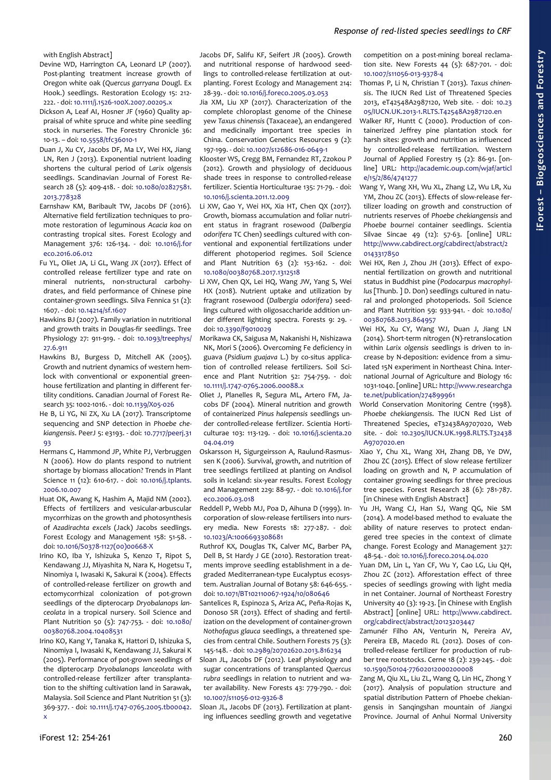# *Response of red-listed species seedlings to CRF*

with English Abstract]

- Devine WD, Harrington CA, Leonard LP (2007). Post-planting treatment increase growth of Oregon white oak (*Quercus garryana* Dougl. Ex Hook.) seedlings. Restoration Ecology 15: 212- 222. - doi: [10.1111/j.1526-100X.2007.00205.x](https://doi.org/10.1111/j.1526-100X.2007.00205.x)
- Dickson A, Leaf AI, Hosner JF (1960) Quality appraisal of white spruce and white pine seedling stock in nurseries. The Forestry Chronicle 36: 10-13. – doi: [10.5558/tfc36010-1](https://doi.org/10.5558/tfc36010-1)
- Duan J, Xu CY, Jacobs DF, Ma LY, Wei HX, Jiang LN, Ren J (2013). Exponential nutrient loading shortens the cultural period of *Larix olgensis* seedlings. Scandinavian Journal of Forest Research 28 (5): 409-418. - doi: [10.1080/02827581.](https://doi.org/10.1080/02827581.2013.778328) [2013.778328](https://doi.org/10.1080/02827581.2013.778328)
- Earnshaw KM, Baribault TW, Jacobs DF (2016). Alternative field fertilization techniques to promote restoration of leguminous *Acacia koa* on contrasting tropical sites. Forest Ecology and Management 376: 126-134. - doi: [10.1016/j.for](https://doi.org/10.1016/j.foreco.2016.06.012) [eco.2016.06.012](https://doi.org/10.1016/j.foreco.2016.06.012)
- Fu YL, Oliet JA, Li GL, Wang JX (2017). Effect of controlled release fertilizer type and rate on mineral nutrients, non-structural carbohydrates, and field performance of Chinese pine container-grown seedlings. Silva Fennica 51 (2): 1607. - doi: [10.14214/sf.1607](https://doi.org/10.14214/sf.1607)
- Hawkins BJ (2007). Family variation in nutritional and growth traits in Douglas-fir seedlings. Tree Physiology 27: 911-919. - doi: [10.1093/treephys/](https://doi.org/10.1093/treephys/27.6.911) [27.6.911](https://doi.org/10.1093/treephys/27.6.911)
- Hawkins BJ, Burgess D, Mitchell AK (2005). Growth and nutrient dynamics of western hemlock with conventional or exponential greenhouse fertilization and planting in different fertility conditions. Canadian Journal of Forest Research 35: 1002-1016. - doi: [10.1139/X05-026](https://doi.org/10.1139/X05-026)
- He B, Li YG, Ni ZX, Xu LA (2017). Transcriptome sequencing and SNP detection in *Phoebe chekiangensis*. PeerJ 5: e3193. - doi: [10.7717/peerj.31](https://doi.org/10.7717/peerj.3193) [93](https://doi.org/10.7717/peerj.3193)
- Hermans C, Hammond JP, White PJ, Verbruggen N (2006). How do plants respond to nutrient shortage by biomass allocation? Trends in Plant Science 11 (12): 610-617. - doi: [10.1016/j.tplants.](https://doi.org/10.1016/j.tplants.2006.10.007) [2006.10.007](https://doi.org/10.1016/j.tplants.2006.10.007)
- Huat OK, Awang K, Hashim A, Majid NM (2002). Effects of fertilizers and vesicular-arbuscular mycorrhizas on the growth and photosynthesis of *Azadirachta excels* (Jack) Jacobs seedlings. Forest Ecology and Management 158: 51-58. doi: [10.1016/S0378-1127\(00\)00668-X](https://doi.org/10.1016/S0378-1127(00)00668-X)
- Irino KO, Iba Y, Ishizuka S, Kenzo T, Ripot S, Kendawang JJ, Miyashita N, Nara K, Hogetsu T, Ninomiya I, Iwasaki K, Sakurai K (2004). Effects of controlled-release fertilizer on growth and ectomycorrhizal colonization of pot-grown seedlings of the dipterocarp *Dryobalanops lanceolata* in a tropical nursery. Soil Science and Plant Nutrition 50 (5): 747-753. - doi: [10.1080/](https://doi.org/10.1080/00380768.2004.10408531) [00380768.2004.10408531](https://doi.org/10.1080/00380768.2004.10408531)
- Irino KO, Kang Y, Tanaka K, Hattori D, Ishizuka S, Ninomiya I, Iwasaki K, Kendawang JJ, Sakurai K (2005). Performance of pot-grown seedlings of the dipterocarp *Dryobalanops lanceolata* with controlled-release fertilizer after transplantation to the shifting cultivation land in Sarawak, Malaysia. Soil Science and Plant Nutrition 51 (3): 369-377. - doi: [10.1111/j.1747-0765.2005.tb00042.](https://doi.org/10.1111/j.1747-0765.2005.tb00042.x) [x](https://doi.org/10.1111/j.1747-0765.2005.tb00042.x)

Jacobs DF, Salifu KF, Seifert JR (2005). Growth and nutritional response of hardwood seedlings to controlled-release fertilization at outplanting. Forest Ecology and Management 214: 28-39. - doi: [10.1016/j.foreco.2005.03.053](https://doi.org/10.1016/j.foreco.2005.03.053)

Jia XM, Liu XP (2017). Characterization of the complete chloroplast genome of the Chinese yew *Taxus chinensis* (Taxaceae), an endangered and medicinally important tree species in China. Conservation Genetics Resources 9 (2): 197-199. - doi: [10.1007/s12686-016-0649-1](https://doi.org/10.1007/s12686-016-0649-1)

- Klooster WS, Cregg BM, Fernandez RT, Zzokou P (2012). Growth and physiology of deciduous shade trees in response to controlled-release fertilizer. Scientia Horticulturae 135: 71-79. - doi: [10.1016/j.scienta.2011.12.009](https://doi.org/10.1016/j.scienta.2011.12.009)
- Li XW, Gao Y, Wei HX, Xia HT, Chen QX (2017). Growth, biomass accumulation and foliar nutrient status in fragrant rosewood (*Dalbergia odorifera* TC Chen) seedlings cultured with conventional and exponential fertilizations under different photoperiod regimes. Soil Science and Plant Nutrition 63 (2): 153-162. - doi: [10.1080/00380768.2017.1312518](https://doi.org/10.1080/00380768.2017.1312518)
- Li XW, Chen QX, Lei HQ, Wang JW, Yang S, Wei HX (2018). Nutrient uptake and utilization by fragrant rosewood (*Dalbergia odorifera*) seedlings cultured with oligosaccharide addition under different lighting spectra. Forests 9: 29. doi: [10.3390/f9010029](https://doi.org/10.3390/f9010029)
- Morikawa CK, Saigusa M, Nakanishi H, Nishizawa NK, Mori S (2006). Overcoming Fe deficiency in guava (*Psidium guajava* L.) by co-situs application of controlled release fertilizers. Soil Science and Plant Nutrition 52: 754-759. - doi: [10.1111/j.1747-0765.2006.00088.x](https://doi.org/10.1111/j.1747-0765.2006.00088.x)
- Oliet J, Planelles R, Segura ML, Artero FM, Jacobs DF (2004). Mineral nutrition and growth of containerized *Pinus halepensis* seedlings under controlled-release fertilizer. Scientia Horticulturae 103: 113-129. - doi: [10.1016/j.scienta.20](https://doi.org/10.1016/j.scienta.2004.04.019) [04.04.019](https://doi.org/10.1016/j.scienta.2004.04.019)
- Oskarsson H, Sigurgeirsson A, Raulund-Rasmussen K (2006). Survival, growth, and nutrition of tree seedlings fertilized at planting on Andisol soils in Iceland: six-year results. Forest Ecology and Management 229: 88-97. - doi: [10.1016/j.for](https://doi.org/10.1016/j.foreco.2006.03.018) [eco.2006.03.018](https://doi.org/10.1016/j.foreco.2006.03.018)
- Reddell P, Webb MJ, Poa D, Aihuna D (1999). Incorporation of slow-release fertilisers into nursery media. New Forests 18: 277-287. - doi: [10.1023/A:1006693308681](https://doi.org/10.1023/A:1006693308681)
- Ruthrof KX, Douglas TK, Calver MC, Barber PA, Dell B, St Hardy J GE (2010). Restoration treatments improve seedling establishment in a degraded Mediterranean-type Eucalyptus ecosystem. Australian Journal of Botany 58: 646-655. doi: [10.1071/BT102110067-1924/10/080646](https://doi.org/10.1071/BT102110067-1924/10/080646)
- Santelices R, Espinoza S, Ariza AC, Peña-Rojas K, Donoso SR (2013). Effect of shading and fertilization on the development of container-grown *Nothofagus glauca* seedlings, a threatened species from central Chile. Southern Forests 75 (3): 145-148. - doi: [10.2989/20702620.2013.816234](https://doi.org/10.2989/20702620.2013.816234)
- Sloan JL, Jacobs DF (2012). Leaf physiology and sugar concentrations of transplanted *Quercus rubra* seedlings in relation to nutrient and water availability. New Forests 43: 779-790. - doi: [10.1007/s11056-012-9326-8](https://doi.org/10.1007/s11056-012-9326-8)
- Sloan JL, Jacobs DF (2013). Fertilization at planting influences seedling growth and vegetative

competition on a post-mining boreal reclamation site. New Forests 44 (5): 687-701. - doi: [10.1007/s11056-013-9378-4](https://doi.org/10.1007/s11056-013-9378-4)

- Thomas P, Li N, Christian T (2013). *Taxus chinensis*. The IUCN Red List of Threatened Species 2013, eT42548A2987120, Web site. - doi: [10.23](https://doi.org/10.2305/IUCN.UK.2013-1.RLTS.T42548A2987120.en) [05/IUCN.UK.2013-1.RLTS.T42548A2987120.en](https://doi.org/10.2305/IUCN.UK.2013-1.RLTS.T42548A2987120.en)
- Walker RF, Huntt C (2000). Production of containerized Jeffrey pine plantation stock for harsh sites: growth and nutrition as influenced by controlled-release fertilization. Western Journal of Applied Forestry 15 (2): 86-91. [online] URL:<http://academic.oup.com/wjaf/articl> [e/15/2/86/4741277](http://academic.oup.com/wjaf/article/15/2/86/4741277)
- Wang Y, Wang XH, Wu XL, Zhang LZ, Wu LR, Xu YM, Zhou ZC (2013). Effects of slow-release fertilizer loading on growth and construction of nutrients reserves of *Phoebe chekiangensis* and *Phoebe bournei* container seedlings. Scientia Silvae Sincae 49 (12): 57-63. [online] URL: [http://www.cabdirect.org/cabdirect/abstract/2](http://www.cabdirect.org/cabdirect/abstract/20143317850) [0143317850](http://www.cabdirect.org/cabdirect/abstract/20143317850)
- Wei HX, Ren J, Zhou JH (2013). Effect of exponential fertilization on growth and nutritional status in Buddhist pine (*Podocarpus macrophyllus* [Thunb. ] D. Don) seedlings cultured in natural and prolonged photoperiods. Soil Science and Plant Nutrition 59: 933-941. - doi: [10.1080/](https://doi.org/10.1080/00380768.2013.864957) [00380768.2013.864957](https://doi.org/10.1080/00380768.2013.864957)
- Wei HX, Xu CY, Wang WJ, Duan J, Jiang LN (2014). Short-term nitrogen (N)-retranslocation within *Larix olgensis* seedlings is driven to increase by N-deposition: evidence from a simulated 15N experiment in Northeast China. International Journal of Agriculture and Biology 16: 1031-1040. [online] URL: [http://www.researchga](http://www.researchga/) [te.net/publication/274899961](http://www.researchgate.net/publication/274899961)
- World Conservation Monitoring Centre (1998). *Phoebe chekiangensis*. The IUCN Red List of Threatened Species, eT32438A9707020, Web site. - doi: [10.2305/IUCN.UK.1998.RLTS.T32438](https://doi.org/10.2305/IUCN.UK.1998.RLTS.T32438A9707020.en) [A9707020.en](https://doi.org/10.2305/IUCN.UK.1998.RLTS.T32438A9707020.en)
- Xiao Y, Chu XL, Wang XH, Zhang DB, Ye DW, Zhou ZC (2015). Effect of slow release fertilizer loading on growth and N, P accumulation of container growing seedlings for three precious tree species. Forest Research 28 (6): 781-787. [in Chinese with English Abstract]
- Yu JH, Wang CJ, Han SJ, Wang QG, Nie SM (2014). A model-based method to evaluate the ability of nature reserves to protect endangered tree species in the context of climate change. Forest Ecology and Management 327: 48-54. - doi: [10.1016/j.foreco.2014.04.020](https://doi.org/10.1016/j.foreco.2014.04.020)
- Yuan DM, Lin L, Yan CF, Wu Y, Cao LG, Liu QH, Zhou ZC (2012). Afforestation effect of three species of seedlings growing with light media in net Container. Journal of Northeast Forestry University 40 (3): 19-23. [in Chinese with English Abstract] [online] URL: [http://www.cabdirect.](http://www.cabdirect.org/cabdirect/abstract/20123203447) [org/cabdirect/abstract/20123203447](http://www.cabdirect.org/cabdirect/abstract/20123203447)
- Zamunér Filho AN, Venturin N, Pereira AV, Pereira EB, Macedo RL (2012). Doses of controlled-release fertilizer for production of rubber tree rootstocks. Cerne 18 (2): 239-245. - doi: [10.1590/S0104-77602012000200008](https://doi.org/10.1590/S0104-77602012000200008)
- Zang M, Qiu XL, Liu ZL, Wang Q, Lin HC, Zhong Y (2017). Analysis of population structure and spatial distribution Pattern of Phoebe chekiangensis in Sanqingshan mountain of Jiangxi Province. Journal of Anhui Normal University